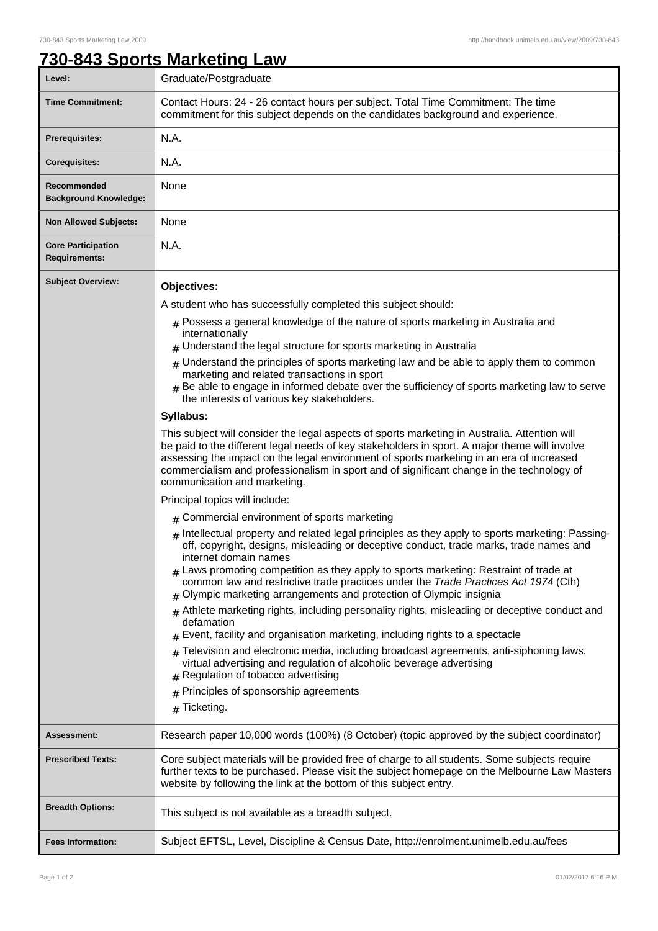## **730-843 Sports Marketing Law**

| Level:                                            | Graduate/Postgraduate                                                                                                                                                                                                                                                                                                                                                                                                   |
|---------------------------------------------------|-------------------------------------------------------------------------------------------------------------------------------------------------------------------------------------------------------------------------------------------------------------------------------------------------------------------------------------------------------------------------------------------------------------------------|
| <b>Time Commitment:</b>                           | Contact Hours: 24 - 26 contact hours per subject. Total Time Commitment: The time<br>commitment for this subject depends on the candidates background and experience.                                                                                                                                                                                                                                                   |
| <b>Prerequisites:</b>                             | N.A.                                                                                                                                                                                                                                                                                                                                                                                                                    |
| <b>Corequisites:</b>                              | N.A.                                                                                                                                                                                                                                                                                                                                                                                                                    |
| Recommended<br><b>Background Knowledge:</b>       | None                                                                                                                                                                                                                                                                                                                                                                                                                    |
| <b>Non Allowed Subjects:</b>                      | None                                                                                                                                                                                                                                                                                                                                                                                                                    |
| <b>Core Participation</b><br><b>Requirements:</b> | N.A.                                                                                                                                                                                                                                                                                                                                                                                                                    |
| <b>Subject Overview:</b>                          | Objectives:                                                                                                                                                                                                                                                                                                                                                                                                             |
|                                                   | A student who has successfully completed this subject should:                                                                                                                                                                                                                                                                                                                                                           |
|                                                   | $#$ Possess a general knowledge of the nature of sports marketing in Australia and                                                                                                                                                                                                                                                                                                                                      |
|                                                   | internationally                                                                                                                                                                                                                                                                                                                                                                                                         |
|                                                   | $#$ Understand the legal structure for sports marketing in Australia                                                                                                                                                                                                                                                                                                                                                    |
|                                                   | $#$ Understand the principles of sports marketing law and be able to apply them to common<br>marketing and related transactions in sport                                                                                                                                                                                                                                                                                |
|                                                   | Be able to engage in informed debate over the sufficiency of sports marketing law to serve<br>the interests of various key stakeholders.                                                                                                                                                                                                                                                                                |
|                                                   | Syllabus:                                                                                                                                                                                                                                                                                                                                                                                                               |
|                                                   | This subject will consider the legal aspects of sports marketing in Australia. Attention will<br>be paid to the different legal needs of key stakeholders in sport. A major theme will involve<br>assessing the impact on the legal environment of sports marketing in an era of increased<br>commercialism and professionalism in sport and of significant change in the technology of<br>communication and marketing. |
|                                                   | Principal topics will include:                                                                                                                                                                                                                                                                                                                                                                                          |
|                                                   | # Commercial environment of sports marketing                                                                                                                                                                                                                                                                                                                                                                            |
|                                                   | $#$ Intellectual property and related legal principles as they apply to sports marketing: Passing-<br>off, copyright, designs, misleading or deceptive conduct, trade marks, trade names and<br>internet domain names                                                                                                                                                                                                   |
|                                                   | $#$ Laws promoting competition as they apply to sports marketing: Restraint of trade at<br>common law and restrictive trade practices under the Trade Practices Act 1974 (Cth)<br>Olympic marketing arrangements and protection of Olympic insignia<br>#                                                                                                                                                                |
|                                                   | Athlete marketing rights, including personality rights, misleading or deceptive conduct and<br>#<br>defamation                                                                                                                                                                                                                                                                                                          |
|                                                   | Event, facility and organisation marketing, including rights to a spectacle                                                                                                                                                                                                                                                                                                                                             |
|                                                   | Television and electronic media, including broadcast agreements, anti-siphoning laws,<br>virtual advertising and regulation of alcoholic beverage advertising<br>Regulation of tobacco advertising<br>#                                                                                                                                                                                                                 |
|                                                   | Principles of sponsorship agreements                                                                                                                                                                                                                                                                                                                                                                                    |
|                                                   | Ticketing.<br>#                                                                                                                                                                                                                                                                                                                                                                                                         |
| <b>Assessment:</b>                                | Research paper 10,000 words (100%) (8 October) (topic approved by the subject coordinator)                                                                                                                                                                                                                                                                                                                              |
| <b>Prescribed Texts:</b>                          | Core subject materials will be provided free of charge to all students. Some subjects require<br>further texts to be purchased. Please visit the subject homepage on the Melbourne Law Masters<br>website by following the link at the bottom of this subject entry.                                                                                                                                                    |
| <b>Breadth Options:</b>                           | This subject is not available as a breadth subject.                                                                                                                                                                                                                                                                                                                                                                     |
| <b>Fees Information:</b>                          | Subject EFTSL, Level, Discipline & Census Date, http://enrolment.unimelb.edu.au/fees                                                                                                                                                                                                                                                                                                                                    |